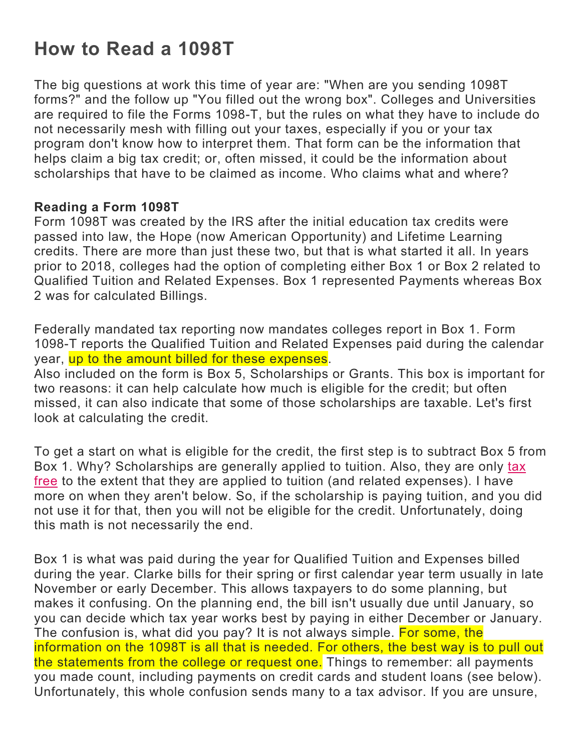# **How to Read a 1098T**

The big questions at work this time of year are: "When are you sending 1098T forms?" and the follow up "You filled out the wrong box". Colleges and Universities are required to file the Forms 1098-T, but the rules on what they have to include do not necessarily mesh with filling out your taxes, especially if you or your tax program don't know how to interpret them. That form can be the information that helps claim a big tax credit; or, often missed, it could be the information about scholarships that have to be claimed as income. Who claims what and where?

## **Reading a Form 1098T**

Form 1098T was created by the IRS after the initial education tax credits were passed into law, the Hope (now American Opportunity) and Lifetime Learning credits. There are more than just these two, but that is what started it all. In years prior to 2018, colleges had the option of completing either Box 1 or Box 2 related to Qualified Tuition and Related Expenses. Box 1 represented Payments whereas Box 2 was for calculated Billings.

Federally mandated tax reporting now mandates colleges report in Box 1. Form 1098-T reports the Qualified Tuition and Related Expenses paid during the calendar year, up to the amount billed for these expenses.

Also included on the form is Box 5, Scholarships or Grants. This box is important for two reasons: it can help calculate how much is eligible for the credit; but often missed, it can also indicate that some of those scholarships are taxable. Let's first look at calculating the credit.

To get a start on what is eligible for the credit, the first step is to subtract Box 5 from Box 1. Why? Scholarships are generally applied to tuition. Also, they are only tax free to the extent that they are applied to tuition (and related expenses). I have more on when they aren't below. So, if the scholarship is paying tuition, and you did not use it for that, then you will not be eligible for the credit. Unfortunately, doing this math is not necessarily the end.

Box 1 is what was paid during the year for Qualified Tuition and Expenses billed during the year. Clarke bills for their spring or first calendar year term usually in late November or early December. This allows taxpayers to do some planning, but makes it confusing. On the planning end, the bill isn't usually due until January, so you can decide which tax year works best by paying in either December or January. The confusion is, what did you pay? It is not always simple. For some, the information on the 1098T is all that is needed. For others, the best way is to pull out the statements from the college or request one. Things to remember: all payments you made count, including payments on credit cards and student loans (see below). Unfortunately, this whole confusion sends many to a tax advisor. If you are unsure,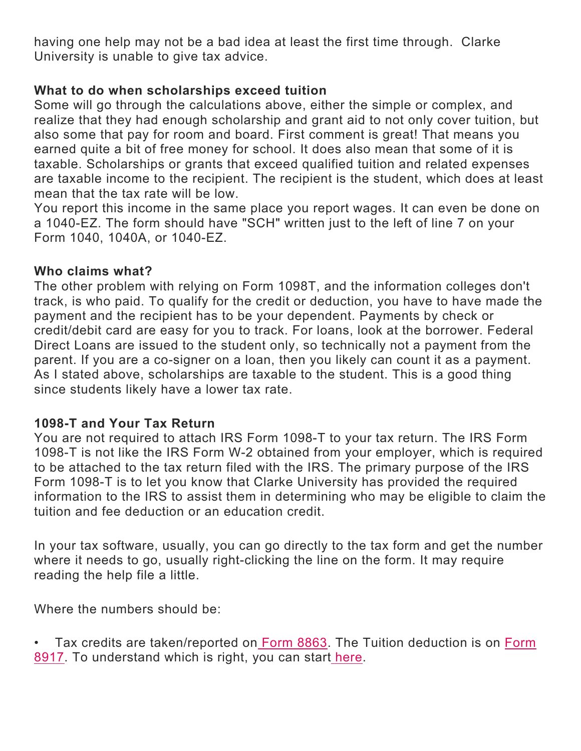having one help may not be a bad idea at least the first time through. Clarke University is unable to give tax advice.

# **What to do when scholarships exceed tuition**

Some will go through the calculations above, either the simple or complex, and realize that they had enough scholarship and grant aid to not only cover tuition, but also some that pay for room and board. First comment is great! That means you earned quite a bit of free money for school. It does also mean that some of it is taxable. Scholarships or grants that exceed qualified tuition and related expenses are taxable income to the recipient. The recipient is the student, which does at least mean that the tax rate will be low.

You report this income in the same place you report wages. It can even be done on a 1040-EZ. The form should have "SCH" written just to the left of line 7 on your Form 1040, 1040A, or 1040-EZ.

#### **Who claims what?**

The other problem with relying on Form 1098T, and the information colleges don't track, is who paid. To qualify for the credit or deduction, you have to have made the payment and the recipient has to be your dependent. Payments by check or credit/debit card are easy for you to track. For loans, look at the borrower. Federal Direct Loans are issued to the student only, so technically not a payment from the parent. If you are a co-signer on a loan, then you likely can count it as a payment. As I stated above, scholarships are taxable to the student. This is a good thing since students likely have a lower tax rate.

## **1098-T and Your Tax Return**

You are not required to attach IRS Form 1098-T to your tax return. The IRS Form 1098-T is not like the IRS Form W-2 obtained from your employer, which is required to be attached to the tax return filed with the IRS. The primary purpose of the IRS Form 1098-T is to let you know that Clarke University has provided the required information to the IRS to assist them in determining who may be eligible to claim the tuition and fee deduction or an education credit.

In your tax software, usually, you can go directly to the tax form and get the number where it needs to go, usually right-clicking the line on the form. It may require reading the help file a little.

Where the numbers should be:

• Tax credits are taken/reported on Form 8863. The Tuition deduction is on Form 8917. To understand which is right, you can start here.